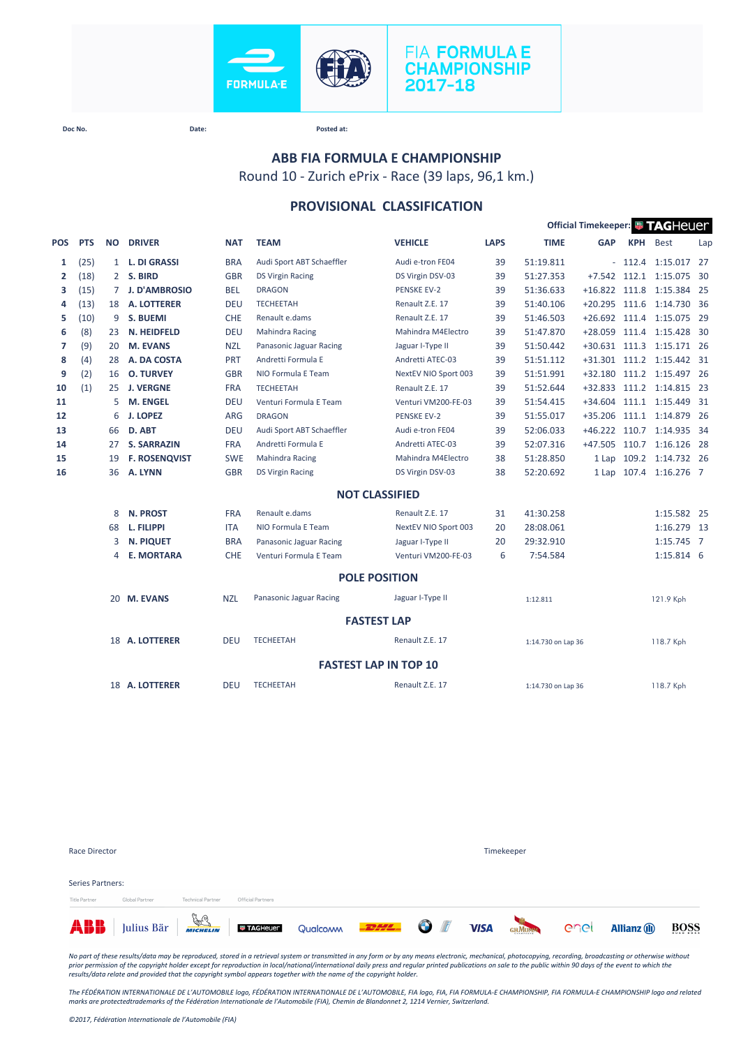



## **ABB FIA FORMULA E CHAMPIONSHIP**

Round 10 - Zurich ePrix - Race (39 laps, 96,1 km.)

## **PROVISIONAL CLASSIFICATION**

|                |            |             |                      |            |                           |                              |             |                    | Official Timekeeper: FAGHeuer |            |                           |      |
|----------------|------------|-------------|----------------------|------------|---------------------------|------------------------------|-------------|--------------------|-------------------------------|------------|---------------------------|------|
| POS            | <b>PTS</b> | <b>NO</b>   | <b>DRIVER</b>        | <b>NAT</b> | <b>TEAM</b>               | <b>VEHICLE</b>               | <b>LAPS</b> | <b>TIME</b>        | <b>GAP</b>                    | <b>KPH</b> | <b>Best</b>               | Lap  |
| 1              | (25)       |             | 1 L. DI GRASSI       | <b>BRA</b> | Audi Sport ABT Schaeffler | Audi e-tron FE04             | 39          | 51:19.811          |                               | $-112.4$   | 1:15.017 27               |      |
| $\overline{2}$ | (18)       |             | 2 S. BIRD            | <b>GBR</b> | <b>DS Virgin Racing</b>   | DS Virgin DSV-03             | 39          | 51:27.353          | $+7.542$                      |            | 112.1 1:15.075            | - 30 |
| з              | (15)       | $7^{\circ}$ | <b>J. D'AMBROSIO</b> | <b>BEL</b> | <b>DRAGON</b>             | <b>PENSKE EV-2</b>           | 39          | 51:36.633          |                               |            | +16.822 111.8 1:15.384 25 |      |
| 4              | (13)       | 18          | <b>A. LOTTERER</b>   | <b>DEU</b> | <b>TECHEETAH</b>          | Renault Z.E. 17              | 39          | 51:40.106          | +20.295 111.6                 |            | 1:14.730 36               |      |
| 5              | (10)       | 9           | <b>S. BUEMI</b>      | CHE        | Renault e.dams            | Renault Z.E. 17              | 39          | 51:46.503          |                               |            | +26.692 111.4 1:15.075 29 |      |
| 6              | (8)        | 23          | N. HEIDFELD          | <b>DEU</b> | <b>Mahindra Racing</b>    | Mahindra M4Electro           | 39          | 51:47.870          |                               |            | +28.059 111.4 1:15.428 30 |      |
| 7              | (9)        | 20          | <b>M. EVANS</b>      | <b>NZL</b> | Panasonic Jaguar Racing   | Jaguar I-Type II             | 39          | 51:50.442          |                               |            | +30.631 111.3 1:15.171 26 |      |
| 8              | (4)        | 28          | A. DA COSTA          | PRT        | Andretti Formula E        | Andretti ATEC-03             | 39          | 51:51.112          |                               |            | +31.301 111.2 1:15.442 31 |      |
| 9              | (2)        | 16          | <b>O. TURVEY</b>     | <b>GBR</b> | NIO Formula E Team        | NextEV NIO Sport 003         | 39          | 51:51.991          | $+32.180$                     |            | 111.2 1:15.497 26         |      |
| 10             | (1)        | 25          | <b>J. VERGNE</b>     | <b>FRA</b> | <b>TECHEETAH</b>          | Renault Z.E. 17              | 39          | 51:52.644          | $+32.833$                     |            | 111.2 1:14.815 23         |      |
| 11             |            | 5           | <b>M. ENGEL</b>      | <b>DEU</b> | Venturi Formula E Team    | Venturi VM200-FE-03          | 39          | 51:54.415          | $+34.604$                     |            | 111.1 1:15.449            | - 31 |
| 12             |            | 6           | <b>J. LOPEZ</b>      | ARG        | <b>DRAGON</b>             | <b>PENSKE EV-2</b>           | 39          | 51:55.017          | $+35.206$                     |            | 111.1 1:14.879            | - 26 |
| 13             |            | 66          | D. ABT               | <b>DEU</b> | Audi Sport ABT Schaeffler | Audi e-tron FE04             | 39          | 52:06.033          |                               |            | +46.222 110.7 1:14.935 34 |      |
| 14             |            | 27          | <b>S. SARRAZIN</b>   | <b>FRA</b> | Andretti Formula E        | Andretti ATEC-03             | 39          | 52:07.316          | +47.505 110.7                 |            | 1:16.126 28               |      |
| 15             |            | 19          | <b>F. ROSENQVIST</b> | <b>SWE</b> | <b>Mahindra Racing</b>    | Mahindra M4Electro           | 38          | 51:28.850          |                               |            | 1 Lap 109.2 1:14.732 26   |      |
| 16             |            | 36          | A. LYNN              | <b>GBR</b> | <b>DS Virgin Racing</b>   | DS Virgin DSV-03             | 38          | 52:20.692          |                               |            | 1 Lap 107.4 1:16.276 7    |      |
|                |            |             |                      |            |                           | <b>NOT CLASSIFIED</b>        |             |                    |                               |            |                           |      |
|                |            | 8           | <b>N. PROST</b>      | <b>FRA</b> | Renault e.dams            | Renault Z.E. 17              | 31          | 41:30.258          |                               |            | 1:15.582 25               |      |
|                |            | 68          | L. FILIPPI           | <b>ITA</b> | NIO Formula E Team        | NextEV NIO Sport 003         | 20          | 28:08.061          |                               |            | 1:16.279 13               |      |
|                |            | 3           | <b>N. PIQUET</b>     | <b>BRA</b> | Panasonic Jaguar Racing   | Jaguar I-Type II             | 20          | 29:32.910          |                               |            | 1:15.745 7                |      |
|                |            | 4           | <b>E. MORTARA</b>    | <b>CHE</b> | Venturi Formula E Team    | Venturi VM200-FE-03          | 6           | 7:54.584           |                               |            | 1:15.814 6                |      |
|                |            |             |                      |            |                           | <b>POLE POSITION</b>         |             |                    |                               |            |                           |      |
|                |            |             | 20 M. EVANS          | <b>NZL</b> | Panasonic Jaguar Racing   | Jaguar I-Type II             |             | 1:12.811           |                               |            | 121.9 Kph                 |      |
|                |            |             |                      |            |                           | <b>FASTEST LAP</b>           |             |                    |                               |            |                           |      |
|                |            |             | 18 A. LOTTERER       | <b>DEU</b> | <b>TECHEETAH</b>          | Renault Z.E. 17              |             | 1:14.730 on Lap 36 |                               |            | 118.7 Kph                 |      |
|                |            |             |                      |            |                           | <b>FASTEST LAP IN TOP 10</b> |             |                    |                               |            |                           |      |
|                |            |             | 18 A. LOTTERER       | <b>DEU</b> | <b>TECHEETAH</b>          | Renault Z.E. 17              |             | 1:14.730 on Lap 36 |                               |            | 118.7 Kph                 |      |
|                |            |             |                      |            |                           |                              |             |                    |                               |            |                           |      |

| Race Director                     |                |                          |                   |                                                                               |  | Timekeeper |                     |      |
|-----------------------------------|----------------|--------------------------|-------------------|-------------------------------------------------------------------------------|--|------------|---------------------|------|
| Series Partners:<br>Title Partner | Global Partner | <b>Technical Partner</b> | Official Partners |                                                                               |  |            |                     |      |
|                                   |                |                          |                   | <b>ABB</b> Julius Bär <b>ACCELOR</b> Qualcom <b>PELLE OF VISA</b> GAMBER CACL |  |            | <b>Allianz</b> (ii) | BOSS |

*No part of these results/data may be reproduced, stored in a retrieval system or transmitted in any form or by any means electronic, mechanical, photocopying, recording, broadcasting or otherwise without*  prior permission of the copyright holder except for reproduction in local/national/international daily press and regular printed publications on sale to the public within 90 days of the event to which the<br>results/data rela

*The FÉDÉRATION INTERNATIONALE DE L'AUTOMOBILE logo, FÉDÉRATION INTERNATIONALE DE L'AUTOMOBILE, FIA logo, FIA, FIA FORMULA-E CHAMPIONSHIP, FIA FORMULA-E CHAMPIONSHIP logo and related marks are protectedtrademarks of the Fédération Internationale de l'Automobile (FIA), Chemin de Blandonnet 2, 1214 Vernier, Switzerland.*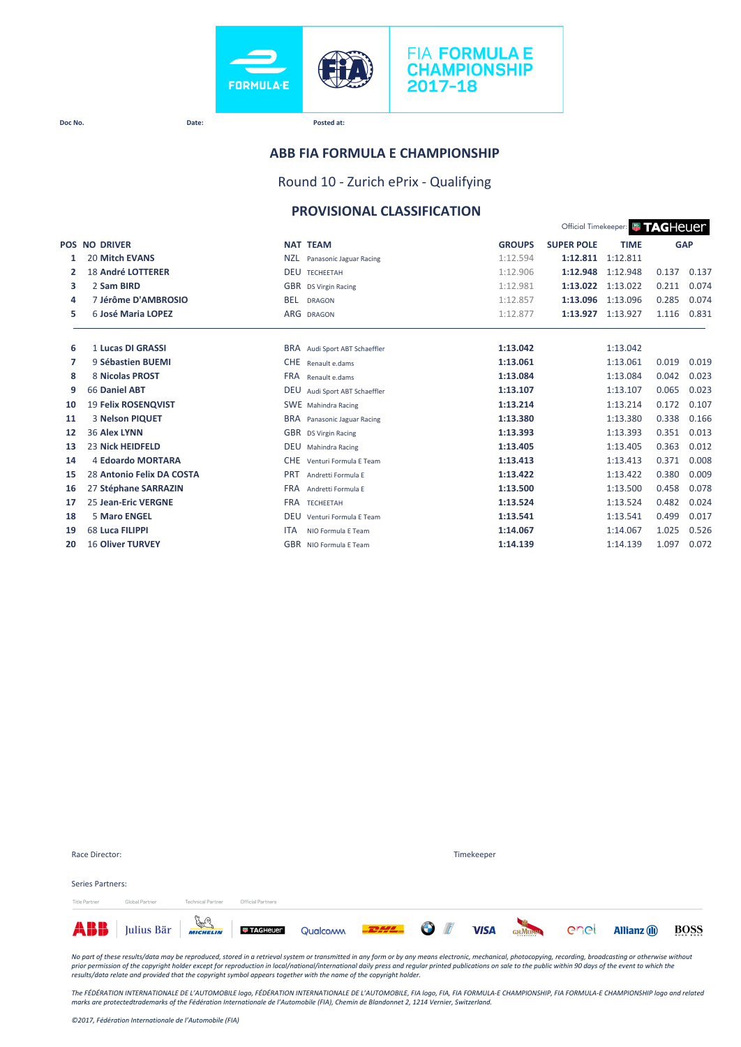

### **ABB FIA FORMULA E CHAMPIONSHIP**

Round 10 - Zurich ePrix - Qualifying

## **PROVISIONAL CLASSIFICATION**

|    |                            |                                         |               |                   | Official Timekeeper: <b>WITAGHEUEM</b> |       |            |
|----|----------------------------|-----------------------------------------|---------------|-------------------|----------------------------------------|-------|------------|
|    | <b>POS NO DRIVER</b>       | <b>NAT TEAM</b>                         | <b>GROUPS</b> | <b>SUPER POLE</b> | <b>TIME</b>                            |       | <b>GAP</b> |
| 1  | <b>20 Mitch EVANS</b>      | <b>NZL</b><br>Panasonic Jaguar Racing   | 1:12.594      | 1:12.811          | 1:12.811                               |       |            |
| 2  | <b>18 André LOTTERER</b>   | <b>DEU</b><br><b>TECHEETAH</b>          | 1:12.906      | 1:12.948          | 1:12.948                               | 0.137 | 0.137      |
| з  | 2 Sam BIRD                 | GBR DS Virgin Racing                    | 1:12.981      | 1:13.022          | 1:13.022                               | 0.211 | 0.074      |
| 4  | 7 Jérôme D'AMBROSIO        | <b>BEL</b><br><b>DRAGON</b>             | 1:12.857      | 1:13.096          | 1:13.096                               | 0.285 | 0.074      |
| 5  | 6 José Maria LOPEZ         | ARG DRAGON                              | 1:12.877      | 1:13.927          | 1:13.927                               | 1.116 | 0.831      |
|    |                            |                                         |               |                   |                                        |       |            |
| 6  | 1 Lucas DI GRASSI          | BRA Audi Sport ABT Schaeffler           | 1:13.042      |                   | 1:13.042                               |       |            |
| 7  | 9 Sébastien BUEMI          | <b>CHE</b><br>Renault e.dams            | 1:13.061      |                   | 1:13.061                               | 0.019 | 0.019      |
| 8  | 8 Nicolas PROST            | <b>FRA</b><br>Renault e.dams            | 1:13.084      |                   | 1:13.084                               | 0.042 | 0.023      |
| 9  | <b>66 Daniel ABT</b>       | <b>DEU</b><br>Audi Sport ABT Schaeffler | 1:13.107      |                   | 1:13.107                               | 0.065 | 0.023      |
| 10 | <b>19 Felix ROSENQVIST</b> | SWE Mahindra Racing                     | 1:13.214      |                   | 1:13.214                               | 0.172 | 0.107      |
| 11 | 3 Nelson PIQUET            | BRA Panasonic Jaguar Racing             | 1:13.380      |                   | 1:13.380                               | 0.338 | 0.166      |
| 12 | 36 Alex LYNN               | GBR DS Virgin Racing                    | 1:13.393      |                   | 1:13.393                               | 0.351 | 0.013      |
| 13 | <b>23 Nick HEIDFELD</b>    | <b>DEU</b><br>Mahindra Racing           | 1:13.405      |                   | 1:13.405                               | 0.363 | 0.012      |
| 14 | 4 Edoardo MORTARA          | <b>CHE</b><br>Venturi Formula F Team    | 1:13.413      |                   | 1:13.413                               | 0.371 | 0.008      |
| 15 | 28 Antonio Felix DA COSTA  | <b>PRT</b><br>Andretti Formula E        | 1:13.422      |                   | 1:13.422                               | 0.380 | 0.009      |
| 16 | 27 Stéphane SARRAZIN       | <b>FRA</b><br>Andretti Formula F        | 1:13.500      |                   | 1:13.500                               | 0.458 | 0.078      |
| 17 | <b>25 Jean-Eric VERGNE</b> | <b>FRA TECHEETAH</b>                    | 1:13.524      |                   | 1:13.524                               | 0.482 | 0.024      |
| 18 | <b>5 Maro ENGEL</b>        | <b>DEU</b><br>Venturi Formula F Team    | 1:13.541      |                   | 1:13.541                               | 0.499 | 0.017      |
| 19 | 68 Luca FILIPPI            | <b>ITA</b><br>NIO Formula F Team        | 1:14.067      |                   | 1:14.067                               | 1.025 | 0.526      |
| 20 | <b>16 Oliver TURVEY</b>    | GBR NIO Formula E Team                  | 1:14.139      |                   | 1:14.139                               | 1.097 | 0.072      |

| Race Director:   |                |                          |                   |                                                                         |  | Timekeeper  |             |                     |      |
|------------------|----------------|--------------------------|-------------------|-------------------------------------------------------------------------|--|-------------|-------------|---------------------|------|
| Series Partners: |                |                          |                   |                                                                         |  |             |             |                     |      |
| Title Partner    | Global Partner | <b>Technical Partner</b> | Official Partners |                                                                         |  |             |             |                     |      |
|                  |                |                          |                   | <b>ABB</b> Julius Bär <b>Francische Der Acheuen</b> Qualcom <b>2000</b> |  | <b>VISA</b> | GEMUNN CACI | <b>Allianz</b> (ii) | BOSS |

*No part of these results/data may be reproduced, stored in a retrieval system or transmitted in any form or by any means electronic, mechanical, photocopying, recording, broadcasting or otherwise without*  prior permission of the copyright holder except for reproduction in local/national/international daily press and regular printed publications on sale to the public within 90 days of the event to which the<br>results/data rela

The FÉDÉRATION INTERNATIONALE DE L'AUTOMOBILE logo, FÉDÉRATION INTERNATIONALE DE L'AUTOMOBILE, FIA logo, FIA, FIA FORMULA-E CHAMPIONSHIP, FIA FORMULA-E CHAMPIONSHIP logo and related<br>marks are protectedtrademarks of the Féd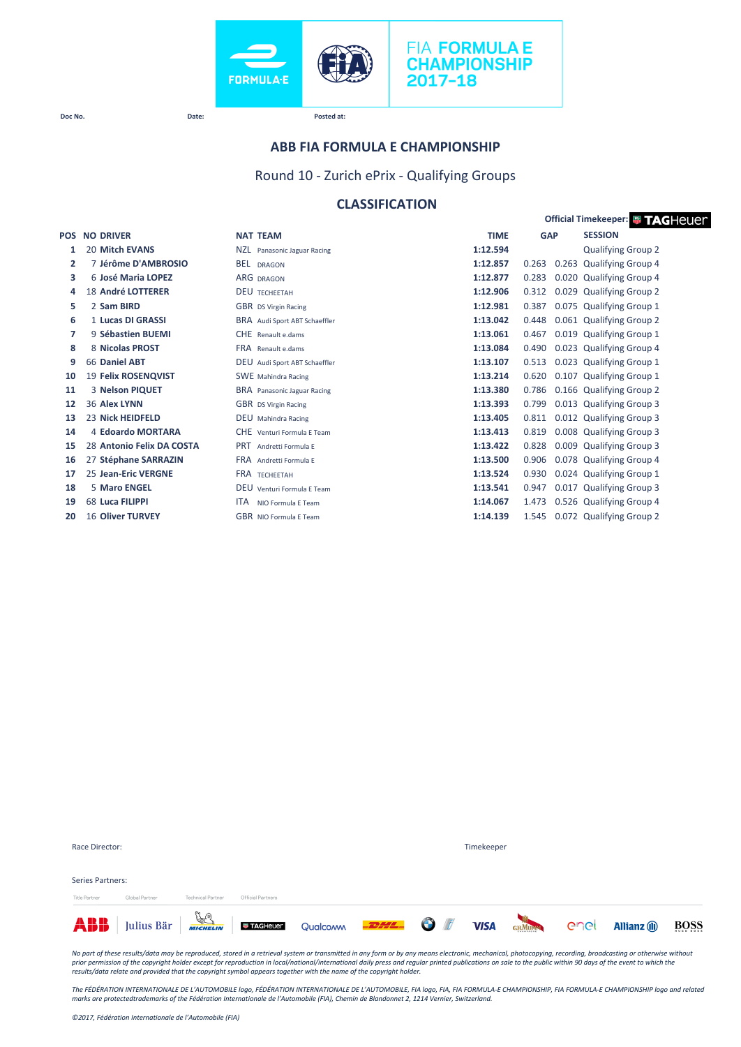



#### **ABB FIA FORMULA E CHAMPIONSHIP**

Round 10 - Zurich ePrix - Qualifying Groups

## **CLASSIFICATION**

| Official Timekeeper: # TAGHeuer |                           |                                  |             |                |                                |  |  |
|---------------------------------|---------------------------|----------------------------------|-------------|----------------|--------------------------------|--|--|
| <b>POS</b>                      | <b>NO DRIVER</b>          | <b>NAT TEAM</b>                  | <b>TIME</b> | <b>GAP</b>     | <b>SESSION</b>                 |  |  |
| 1                               | 20 Mitch EVANS            | NZL Panasonic Jaguar Racing      | 1:12.594    |                | <b>Qualifying Group 2</b>      |  |  |
| $\overline{2}$                  | 7 Jérôme D'AMBROSIO       | <b>BEL</b><br><b>DRAGON</b>      | 1:12.857    | 0.263<br>0.263 | <b>Qualifying Group 4</b>      |  |  |
| 3                               | 6 José Maria LOPEZ        | <b>ARG DRAGON</b>                | 1:12.877    | 0.283          | 0.020 Qualifying Group 4       |  |  |
| 4                               | <b>18 André LOTTERER</b>  | <b>DEU TECHEFTAH</b>             | 1:12.906    | 0.312          | 0.029 Qualifying Group 2       |  |  |
| 5                               | 2 Sam BIRD                | GBR DS Virgin Racing             | 1:12.981    | 0.387          | 0.075 Qualifying Group 1       |  |  |
| 6                               | 1 Lucas DI GRASSI         | BRA Audi Sport ABT Schaeffler    | 1:13.042    | 0.448          | 0.061 Qualifying Group 2       |  |  |
| 7                               | 9 Sébastien BUEMI         | <b>CHE</b> Renault e.dams        | 1:13.061    | 0.467          | 0.019 Qualifying Group 1       |  |  |
| 8                               | 8 Nicolas PROST           | FRA Renault e.dams               | 1:13.084    | 0.490          | 0.023 Qualifying Group 4       |  |  |
| 9                               | 66 Daniel ABT             | DEU Audi Sport ABT Schaeffler    | 1:13.107    | 0.513          | 0.023 Qualifying Group 1       |  |  |
| 10                              | 19 Felix ROSENQVIST       | <b>SWE</b> Mahindra Racing       | 1:13.214    | 0.620          | 0.107 Qualifying Group 1       |  |  |
| 11                              | 3 Nelson PIQUET           | BRA Panasonic Jaguar Racing      | 1:13.380    | 0.786          | 0.166 Qualifying Group 2       |  |  |
| 12                              | 36 Alex LYNN              | <b>GBR</b> DS Virgin Racing      | 1:13.393    | 0.799          | 0.013 Qualifying Group 3       |  |  |
| 13                              | 23 Nick HEIDFELD          | <b>DEU</b> Mahindra Racing       | 1:13.405    | 0.811          | 0.012 Qualifying Group 3       |  |  |
| 14                              | 4 Edoardo MORTARA         | CHE Venturi Formula E Team       | 1:13.413    | 0.819          | 0.008 Qualifying Group 3       |  |  |
| 15                              | 28 Antonio Felix DA COSTA | <b>PRT</b><br>Andretti Formula E | 1:13.422    | 0.828          | 0.009 Qualifying Group 3       |  |  |
| 16                              | 27 Stéphane SARRAZIN      | FRA Andretti Formula E           | 1:13.500    | 0.906          | 0.078 Qualifying Group 4       |  |  |
| 17                              | 25 Jean-Eric VERGNE       | <b>FRA TECHEETAH</b>             | 1:13.524    | 0.930          | 0.024 Qualifying Group 1       |  |  |
| 18                              | <b>5 Maro ENGEL</b>       | DEU Venturi Formula E Team       | 1:13.541    | 0.947          | 0.017 Qualifying Group 3       |  |  |
| 19                              | 68 Luca FILIPPI           | <b>ITA</b><br>NIO Formula E Team | 1:14.067    | 1.473          | 0.526 Qualifying Group 4       |  |  |
| 20                              | <b>16 Oliver TURVEY</b>   | GBR NIO Formula F Team           | 1:14.139    |                | 1.545 0.072 Qualifying Group 2 |  |  |

|                  | <b>ABB</b> Julius Bär <b>ACTED JULION DETAILED</b> Qualcomm <b>DETAIL OF VISA</b> GENOM COC |                          |                   |  |  |  |  | <b>Allianz (ii)</b> | BOSS |  |
|------------------|---------------------------------------------------------------------------------------------|--------------------------|-------------------|--|--|--|--|---------------------|------|--|
| Title Partner    | Global Partner                                                                              | <b>Technical Partner</b> | Official Partners |  |  |  |  |                     |      |  |
| Series Partners: |                                                                                             |                          |                   |  |  |  |  |                     |      |  |
|                  |                                                                                             |                          |                   |  |  |  |  |                     |      |  |
| Race Director:   |                                                                                             |                          | Timekeeper        |  |  |  |  |                     |      |  |

No part of these results/data may be reproduced, stored in a retrieval system or transmitted in any form or by any means electronic, mechanical, photocopying, recording, broadcasting or otherwise without<br>prior permission o

The FÉDÉRATION INTERNATIONALE DE L'AUTOMOBILE logo, FÉDÉRATION INTERNATIONALE DE L'AUTOMOBILE, FIA logo, FIA, FIA FORMULA-E CHAMPIONSHIP, FIA FORMULA-E CHAMPIONSHIP logo and related<br>marks are protectedtrademarks of the Féd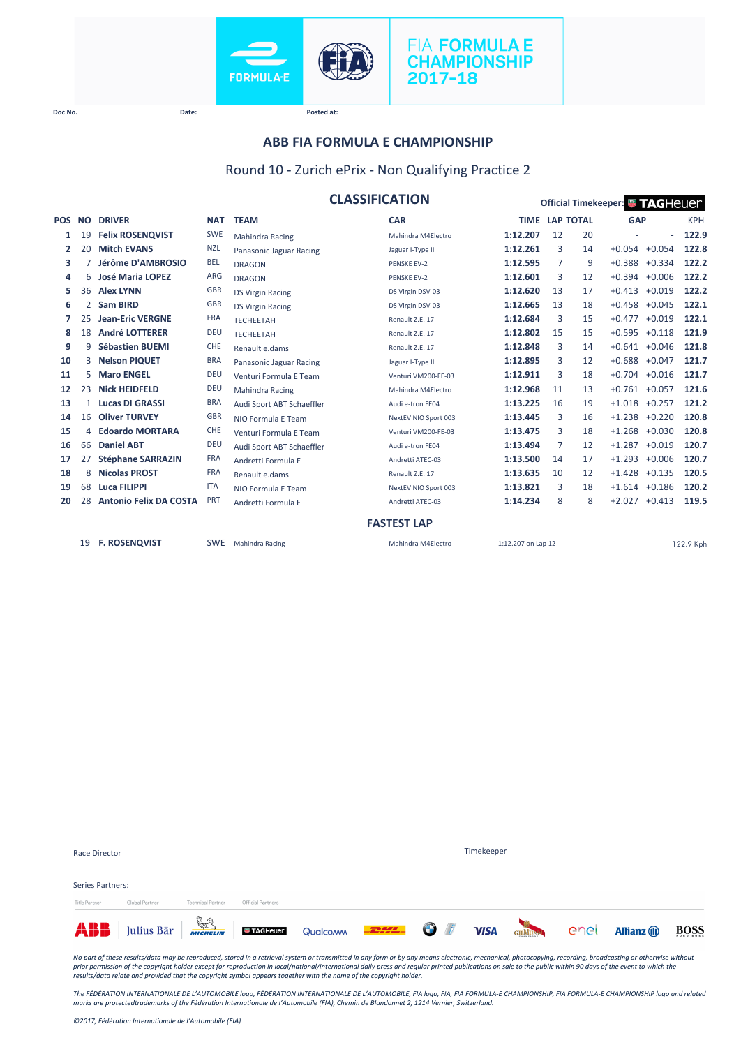



#### **ABB FIA FORMULA E CHAMPIONSHIP**

### Round 10 - Zurich ePrix - Non Qualifying Practice 2

|            |                |                               |            | <b>CLASSIFICATION</b>     |                      |                    |                  |    | Official Timekeeper: <sup>1</sup> TAGHeuer |                 |            |
|------------|----------------|-------------------------------|------------|---------------------------|----------------------|--------------------|------------------|----|--------------------------------------------|-----------------|------------|
| <b>POS</b> | <b>NO</b>      | <b>DRIVER</b>                 | <b>NAT</b> | <b>TEAM</b>               | <b>CAR</b>           | <b>TIME</b>        | <b>LAP TOTAL</b> |    | <b>GAP</b>                                 |                 | <b>KPH</b> |
| 1          | 19             | <b>Felix ROSENQVIST</b>       | <b>SWE</b> | <b>Mahindra Racing</b>    | Mahindra M4Electro   | 1:12.207           | 12               | 20 |                                            | $\sim$          | 122.9      |
| 2          | 20             | <b>Mitch EVANS</b>            | <b>NZL</b> | Panasonic Jaguar Racing   | Jaguar I-Type II     | 1:12.261           | 3                | 14 | $+0.054$                                   | $+0.054$        | 122.8      |
| 3          |                | Jérôme D'AMBROSIO             | <b>BEL</b> | <b>DRAGON</b>             | <b>PENSKE EV-2</b>   | 1:12.595           | 7                | 9  | $+0.388$                                   | $+0.334$        | 122.2      |
| 4          | 6              | <b>José Maria LOPEZ</b>       | <b>ARG</b> | <b>DRAGON</b>             | <b>PENSKE EV-2</b>   | 1:12.601           | 3                | 12 | $+0.394$                                   | $+0.006$        | 122.2      |
| 5          | 36             | <b>Alex LYNN</b>              | <b>GBR</b> | <b>DS Virgin Racing</b>   | DS Virgin DSV-03     | 1:12.620           | 13               | 17 | $+0.413$                                   | $+0.019$        | 122.2      |
| 6          | $\overline{2}$ | <b>Sam BIRD</b>               | <b>GBR</b> | <b>DS Virgin Racing</b>   | DS Virgin DSV-03     | 1:12.665           | 13               | 18 | $+0.458$                                   | $+0.045$        | 122.1      |
| 7          | 25             | <b>Jean-Eric VERGNE</b>       | <b>FRA</b> | <b>TECHEETAH</b>          | Renault Z.E. 17      | 1:12.684           | 3                | 15 | $+0.477$                                   | $+0.019$        | 122.1      |
| 8          | 18             | <b>André LOTTERER</b>         | <b>DEU</b> | <b>TECHEETAH</b>          | Renault Z.E. 17      | 1:12.802           | 15               | 15 | $+0.595$                                   | $+0.118$        | 121.9      |
| 9          | 9              | Sébastien BUEMI               | CHE        | Renault e.dams            | Renault Z.E. 17      | 1:12.848           | 3                | 14 | $+0.641 + 0.046$                           |                 | 121.8      |
| 10         | 3              | <b>Nelson PIQUET</b>          | <b>BRA</b> | Panasonic Jaguar Racing   | Jaguar I-Type II     | 1:12.895           | 3                | 12 | $+0.688$                                   | $+0.047$        | 121.7      |
| 11         | 5              | <b>Maro ENGEL</b>             | <b>DEU</b> | Venturi Formula E Team    | Venturi VM200-FE-03  | 1:12.911           | 3                | 18 | $+0.704 +0.016$                            |                 | 121.7      |
| 12         | 23             | <b>Nick HEIDFELD</b>          | <b>DEU</b> | Mahindra Racing           | Mahindra M4Electro   | 1:12.968           | 11               | 13 | $+0.761 + 0.057$                           |                 | 121.6      |
| 13         | 1              | <b>Lucas DI GRASSI</b>        | <b>BRA</b> | Audi Sport ABT Schaeffler | Audi e-tron FE04     | 1:13.225           | 16               | 19 | $+1.018$                                   | $+0.257$        | 121.2      |
| 14         | 16             | <b>Oliver TURVEY</b>          | <b>GBR</b> | NIO Formula E Team        | NextEV NIO Sport 003 | 1:13.445           | 3                | 16 | $+1.238 +0.220$                            |                 | 120.8      |
| 15         | 4              | <b>Edoardo MORTARA</b>        | <b>CHE</b> | Venturi Formula E Team    | Venturi VM200-FE-03  | 1:13.475           | 3                | 18 | $+1.268$ $+0.030$                          |                 | 120.8      |
| 16         | 66             | <b>Daniel ABT</b>             | <b>DEU</b> | Audi Sport ABT Schaeffler | Audi e-tron FE04     | 1:13.494           | 7                | 12 | $+1.287$                                   | $+0.019$        | 120.7      |
| 17         | 27             | <b>Stéphane SARRAZIN</b>      | <b>FRA</b> | Andretti Formula E        | Andretti ATEC-03     | 1:13.500           | 14               | 17 | $+1.293$                                   | $+0.006$        | 120.7      |
| 18         | 8              | <b>Nicolas PROST</b>          | <b>FRA</b> | Renault e.dams            | Renault Z.E. 17      | 1:13.635           | 10               | 12 | $+1.428$                                   | $+0.135$        | 120.5      |
| 19         | 68             | <b>Luca FILIPPI</b>           | <b>ITA</b> | NIO Formula E Team        | NextEV NIO Sport 003 | 1:13.821           | 3                | 18 | $+1.614$ $+0.186$                          |                 | 120.2      |
| 20         | 28             | <b>Antonio Felix DA COSTA</b> | PRT        | Andretti Formula E        | Andretti ATEC-03     | 1:14.234           | 8                | 8  |                                            | $+2.027 +0.413$ | 119.5      |
|            |                |                               |            |                           | <b>FASTEST LAP</b>   |                    |                  |    |                                            |                 |            |
|            | 19             | <b>F. ROSENQVIST</b>          | <b>SWE</b> | Mahindra Racing           | Mahindra M4Electro   | 1:12.207 on Lap 12 |                  |    |                                            |                 | 122.9 Kph  |

|                      | <b>ABB</b> Julius Bär <b>Franz Landschweiter</b> Qualcomm <b>FRAZ OF</b> VISA |                          |                   |  |                   | GHMUMM Cnel | <b>Allianz</b> (ii) | <b>BOSS</b> |
|----------------------|-------------------------------------------------------------------------------|--------------------------|-------------------|--|-------------------|-------------|---------------------|-------------|
| <b>Title Partner</b> | Global Partner                                                                | <b>Technical Partner</b> | Official Partners |  |                   |             |                     |             |
| Series Partners:     |                                                                               |                          |                   |  |                   |             |                     |             |
| Race Director        |                                                                               |                          |                   |  | <b>Timekeeper</b> |             |                     |             |

No part of these results/data may be reproduced, stored in a retrieval system or transmitted in any form or by any means electronic, mechanical, photocopying, recording, broadcasting or otherwise without<br>prior permission o

*The FÉDÉRATION INTERNATIONALE DE L'AUTOMOBILE logo, FÉDÉRATION INTERNATIONALE DE L'AUTOMOBILE, FIA logo, FIA, FIA FORMULA-E CHAMPIONSHIP, FIA FORMULA-E CHAMPIONSHIP logo and related marks are protectedtrademarks of the Fédération Internationale de l'Automobile (FIA), Chemin de Blandonnet 2, 1214 Vernier, Switzerland.*